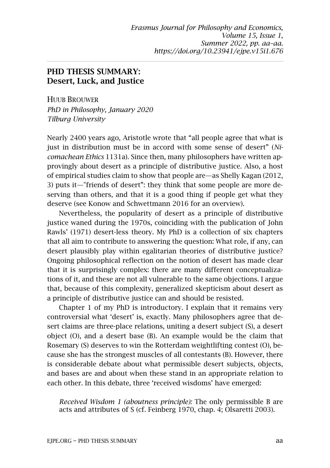## PHD THESIS SUMMARY: Desert, Luck, and Justice

HUUB BROUWER *PhD in Philosophy, January 2020 Tilburg University*

Nearly 2400 years ago, Aristotle wrote that "all people agree that what is just in distribution must be in accord with some sense of desert" (*Nicomachean Ethics* 1131a). Since then, many philosophers have written approvingly about desert as a principle of distributive justice. Also, a host of empirical studies claim to show that people are—as Shelly Kagan (2012, 3) puts it—"friends of desert": they think that some people are more deserving than others, and that it is a good thing if people get what they deserve (see Konow and Schwettmann 2016 for an overview).

Nevertheless, the popularity of desert as a principle of distributive justice waned during the 1970s, coinciding with the publication of John Rawls' (1971) desert-less theory. My PhD is a collection of six chapters that all aim to contribute to answering the question: What role, if any, can desert plausibly play within egalitarian theories of distributive justice? Ongoing philosophical reflection on the notion of desert has made clear that it is surprisingly complex: there are many different conceptualizations of it, and these are not all vulnerable to the same objections. I argue that, because of this complexity, generalized skepticism about desert as a principle of distributive justice can and should be resisted.

Chapter 1 of my PhD is introductory. I explain that it remains very controversial what 'desert' is, exactly. Many philosophers agree that desert claims are three-place relations, uniting a desert subject (S), a desert object (O), and a desert base (B). An example would be the claim that Rosemary (S) deserves to win the Rotterdam weightlifting contest (O), because she has the strongest muscles of all contestants (B). However, there is considerable debate about what permissible desert subjects, objects, and bases are and about when these stand in an appropriate relation to each other. In this debate, three 'received wisdoms' have emerged:

*Received Wisdom 1 (aboutness principle):* The only permissible B are acts and attributes of S (cf. Feinberg 1970, chap. 4; Olsaretti 2003).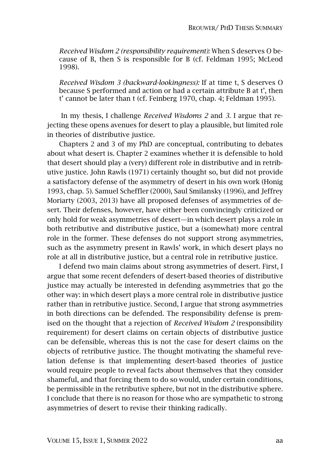*Received Wisdom 2 (responsibility requirement):* When S deserves O because of B, then S is responsible for B (cf. Feldman 1995; McLeod 1998).

*Received Wisdom 3 (backward-lookingness):* If at time t, S deserves O because S performed and action or had a certain attribute B at t', then t' cannot be later than t (cf. Feinberg 1970, chap. 4; Feldman 1995).

In my thesis, I challenge *Received Wisdoms 2* and *3*. I argue that rejecting these opens avenues for desert to play a plausible, but limited role in theories of distributive justice.

Chapters 2 and 3 of my PhD are conceptual, contributing to debates about what desert is. Chapter 2 examines whether it is defensible to hold that desert should play a (very) different role in distributive and in retributive justice. John Rawls (1971) certainly thought so, but did not provide a satisfactory defense of the asymmetry of desert in his own work (Honig 1993, chap. 5). Samuel Scheffler (2000), Saul Smilansky (1996), and Jeffrey Moriarty (2003, 2013) have all proposed defenses of asymmetries of desert. Their defenses, however, have either been convincingly criticized or only hold for weak asymmetries of desert—in which desert plays a role in both retributive and distributive justice, but a (somewhat) more central role in the former. These defenses do not support strong asymmetries, such as the asymmetry present in Rawls' work, in which desert plays no role at all in distributive justice, but a central role in retributive justice.

I defend two main claims about strong asymmetries of desert. First, I argue that some recent defenders of desert-based theories of distributive justice may actually be interested in defending asymmetries that go the other way: in which desert plays a more central role in distributive justice rather than in retributive justice. Second, I argue that strong asymmetries in both directions can be defended. The responsibility defense is premised on the thought that a rejection of *Received Wisdom 2* (responsibility requirement) for desert claims on certain objects of distributive justice can be defensible, whereas this is not the case for desert claims on the objects of retributive justice. The thought motivating the shameful revelation defense is that implementing desert-based theories of justice would require people to reveal facts about themselves that they consider shameful, and that forcing them to do so would, under certain conditions, be permissible in the retributive sphere, but not in the distributive sphere. I conclude that there is no reason for those who are sympathetic to strong asymmetries of desert to revise their thinking radically.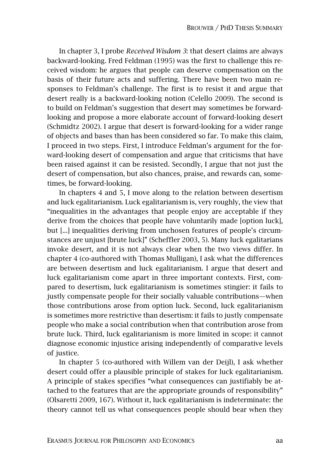In chapter 3, I probe *Received Wisdom 3*: that desert claims are always backward-looking. Fred Feldman (1995) was the first to challenge this received wisdom: he argues that people can deserve compensation on the basis of their future acts and suffering. There have been two main responses to Feldman's challenge. The first is to resist it and argue that desert really is a backward-looking notion (Celello 2009). The second is to build on Feldman's suggestion that desert may sometimes be forwardlooking and propose a more elaborate account of forward-looking desert (Schmidtz 2002). I argue that desert is forward-looking for a wider range of objects and bases than has been considered so far. To make this claim, I proceed in two steps. First, I introduce Feldman's argument for the forward-looking desert of compensation and argue that criticisms that have been raised against it can be resisted. Secondly, I argue that not just the desert of compensation, but also chances, praise, and rewards can, sometimes, be forward-looking.

In chapters 4 and 5, I move along to the relation between desertism and luck egalitarianism. Luck egalitarianism is, very roughly, the view that "inequalities in the advantages that people enjoy are acceptable if they derive from the choices that people have voluntarily made [option luck], but [...] inequalities deriving from unchosen features of people's circumstances are unjust [brute luck]" (Scheffler 2003, 5). Many luck egalitarians invoke desert, and it is not always clear when the two views differ. In chapter 4 (co-authored with Thomas Mulligan), I ask what the differences are between desertism and luck egalitarianism. I argue that desert and luck egalitarianism come apart in three important contexts. First, compared to desertism, luck egalitarianism is sometimes stingier: it fails to justly compensate people for their socially valuable contributions—when those contributions arose from option luck. Second, luck egalitarianism is sometimes more restrictive than desertism: it fails to justly compensate people who make a social contribution when that contribution arose from brute luck. Third, luck egalitarianism is more limited in scope: it cannot diagnose economic injustice arising independently of comparative levels of justice.

In chapter 5 (co-authored with Willem van der Deijl), I ask whether desert could offer a plausible principle of stakes for luck egalitarianism. A principle of stakes specifies "what consequences can justifiably be attached to the features that are the appropriate grounds of responsibility" (Olsaretti 2009, 167). Without it, luck egalitarianism is indeterminate: the theory cannot tell us what consequences people should bear when they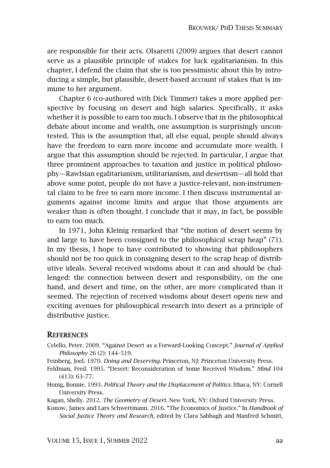are responsible for their acts. Olsaretti (2009) argues that desert cannot serve as a plausible principle of stakes for luck egalitarianism. In this chapter, I defend the claim that she is too pessimistic about this by introducing a simple, but plausible, desert-based account of stakes that is immune to her argument.

Chapter 6 (co-authored with Dick Timmer) takes a more applied perspective by focusing on desert and high salaries. Specifically, it asks whether it is possible to earn too much. I observe that in the philosophical debate about income and wealth, one assumption is surprisingly uncontested. This is the assumption that, all else equal, people should always have the freedom to earn more income and accumulate more wealth. I argue that this assumption should be rejected. In particular, I argue that three prominent approaches to taxation and justice in political philosophy—Rawlsian egalitarianism, utilitarianism, and desertism—all hold that above some point, people do not have a justice-relevant, non-instrumental claim to be free to earn more income. I then discuss instrumental arguments against income limits and argue that those arguments are weaker than is often thought. I conclude that it may, in fact, be possible to earn too much.

In 1971, John Kleinig remarked that "the notion of desert seems by and large to have been consigned to the philosophical scrap heap" (71). In my thesis, I hope to have contributed to showing that philosophers should not be too quick in consigning desert to the scrap heap of distributive ideals. Several received wisdoms about it can and should be challenged: the connection between desert and responsibility, on the one hand, and desert and time, on the other, are more complicated than it seemed. The rejection of received wisdoms about desert opens new and exciting avenues for philosophical research into desert as a principle of distributive justice.

## **REFERENCES**

- Celello, Peter. 2009. "Against Desert as a Forward-Looking Concept." *Journal of Applied Philosophy* 26 (2): 144–519.
- Feinberg, Joel. 1970. *Doing and Deserving.* Princeton, NJ: Princeton University Press.
- Feldman, Fred. 1995. "Desert: Reconsideration of Some Received Wisdom." *Mind* 104 (413): 63–77.
- Honig, Bonnie. 1993. *Political Theory and the Displacement of Politics*. Ithaca, NY: Cornell University Press.

Kagan, Shelly. 2012. *The Geometry of Desert*. New York, NY: Oxford University Press.

Konow, James and Lars Schwettmann. 2016. "The Economics of Justice." In *Handbook of Social Justice Theory and Research,* edited by Clara Sabbagh and Manfred Schmitt,